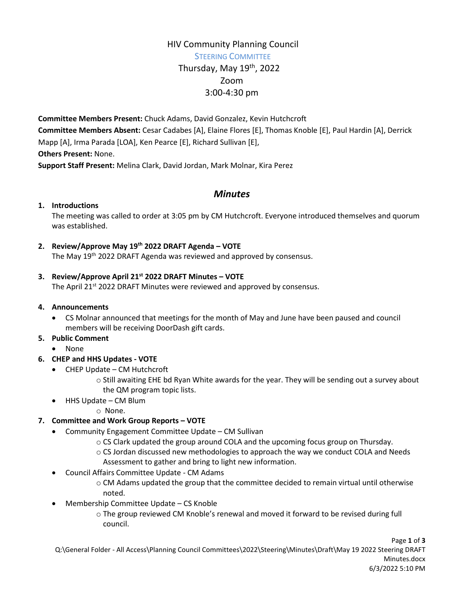# HIV Community Planning Council STEERING COMMITTEE Thursday, May  $19<sup>th</sup>$ , 2022 Zoom 3:00-4:30 pm

**Committee Members Present:** Chuck Adams, David Gonzalez, Kevin Hutchcroft **Committee Members Absent:** Cesar Cadabes [A], Elaine Flores [E], Thomas Knoble [E], Paul Hardin [A], Derrick Mapp [A], Irma Parada [LOA], Ken Pearce [E], Richard Sullivan [E], **Others Present:** None. **Support Staff Present:** Melina Clark, David Jordan, Mark Molnar, Kira Perez

## *Minutes*

#### **1. Introductions**

The meeting was called to order at 3:05 pm by CM Hutchcroft. Everyone introduced themselves and quorum was established.

**2. Review/Approve May 19th 2022 DRAFT Agenda – VOTE**

The May 19<sup>th</sup> 2022 DRAFT Agenda was reviewed and approved by consensus.

### **3. Review/Approve April 21st 2022 DRAFT Minutes – VOTE**

The April 21<sup>st</sup> 2022 DRAFT Minutes were reviewed and approved by consensus.

#### **4. Announcements**

 CS Molnar announced that meetings for the month of May and June have been paused and council members will be receiving DoorDash gift cards.

### **5. Public Comment**

• None

### **6. CHEP and HHS Updates - VOTE**

- CHEP Update CM Hutchcroft
	- o Still awaiting EHE bd Ryan White awards for the year. They will be sending out a survey about the QM program topic lists.
- HHS Update CM Blum
	- o None.

### **7. Committee and Work Group Reports – VOTE**

- Community Engagement Committee Update CM Sullivan
	- o CS Clark updated the group around COLA and the upcoming focus group on Thursday.
	- o CS Jordan discussed new methodologies to approach the way we conduct COLA and Needs Assessment to gather and bring to light new information.
- Council Affairs Committee Update CM Adams
	- o CM Adams updated the group that the committee decided to remain virtual until otherwise noted.
- Membership Committee Update CS Knoble
	- o The group reviewed CM Knoble's renewal and moved it forward to be revised during full council.